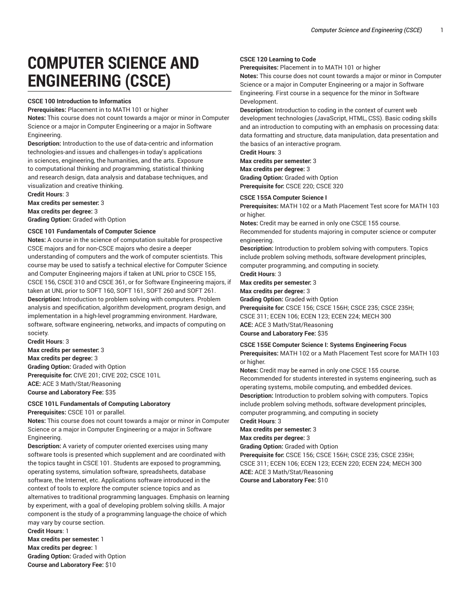# **COMPUTER SCIENCE AND ENGINEERING (CSCE)**

#### **CSCE 100 Introduction to Informatics**

**Prerequisites:** Placement in to MATH 101 or higher

**Notes:** This course does not count towards a major or minor in Computer Science or a major in Computer Engineering or a major in Software Engineering.

**Description:** Introduction to the use of data-centric and information technologies-and issues and challenges-in today's applications in sciences, engineering, the humanities, and the arts. Exposure to computational thinking and programming, statistical thinking and research design, data analysis and database techniques, and visualization and creative thinking.

**Credit Hours**: 3 **Max credits per semester:** 3

**Max credits per degree:** 3

**Grading Option:** Graded with Option

#### **CSCE 101 Fundamentals of Computer Science**

**Notes:** A course in the science of computation suitable for prospective CSCE majors and for non-CSCE majors who desire a deeper understanding of computers and the work of computer scientists. This course may be used to satisfy a technical elective for Computer Science and Computer Engineering majors if taken at UNL prior to CSCE 155, CSCE 156, CSCE 310 and CSCE 361, or for Software Engineering majors, if taken at UNL prior to SOFT 160, SOFT 161, SOFT 260 and SOFT 261. **Description:** Introduction to problem solving with computers. Problem analysis and specification, algorithm development, program design, and implementation in a high-level programming environment. Hardware, software, software engineering, networks, and impacts of computing on society.

**Credit Hours**: 3 **Max credits per semester:** 3 **Max credits per degree:** 3 **Grading Option:** Graded with Option **Prerequisite for:** CIVE 201; CIVE 202; CSCE 101L **ACE:** ACE 3 Math/Stat/Reasoning **Course and Laboratory Fee:** \$35

### **CSCE 101L Fundamentals of Computing Laboratory**

**Prerequisites:** CSCE 101 or parallel.

**Notes:** This course does not count towards a major or minor in Computer Science or a major in Computer Engineering or a major in Software Engineering.

**Description:** A variety of computer oriented exercises using many software tools is presented which supplement and are coordinated with the topics taught in CSCE 101. Students are exposed to programming, operating systems, simulation software, spreadsheets, database software, the Internet, etc. Applications software introduced in the context of tools to explore the computer science topics and as alternatives to traditional programming languages. Emphasis on learning by experiment, with a goal of developing problem solving skills. A major component is the study of a programming language-the choice of which may vary by course section. **Credit Hours**: 1

**Max credits per semester:** 1 **Max credits per degree:** 1 **Grading Option:** Graded with Option **Course and Laboratory Fee:** \$10

#### **CSCE 120 Learning to Code**

**Prerequisites:** Placement in to MATH 101 or higher

**Notes:** This course does not count towards a major or minor in Computer Science or a major in Computer Engineering or a major in Software Engineering. First course in a sequence for the minor in Software Development.

**Description:** Introduction to coding in the context of current web development technologies (JavaScript, HTML, CSS). Basic coding skills and an introduction to computing with an emphasis on processing data: data formatting and structure, data manipulation, data presentation and the basics of an interactive program.

**Credit Hours**: 3

**Max credits per semester:** 3

**Max credits per degree:** 3

**Grading Option:** Graded with Option **Prerequisite for:** CSCE 220; CSCE 320

#### **CSCE 155A Computer Science I**

**Prerequisites:** MATH 102 or a Math Placement Test score for MATH 103 or higher.

**Notes:** Credit may be earned in only one CSCE 155 course.

Recommended for students majoring in computer science or computer engineering.

**Description:** Introduction to problem solving with computers. Topics include problem solving methods, software development principles, computer programming, and computing in society.

### **Credit Hours**: 3

#### **Max credits per semester:** 3 **Max credits per degree:** 3

**Grading Option:** Graded with Option **Prerequisite for:** CSCE 156; CSCE 156H; CSCE 235; CSCE 235H; CSCE 311; ECEN 106; ECEN 123; ECEN 224; MECH 300 **ACE:** ACE 3 Math/Stat/Reasoning **Course and Laboratory Fee:** \$35

#### **CSCE 155E Computer Science I: Systems Engineering Focus**

**Prerequisites:** MATH 102 or a Math Placement Test score for MATH 103 or higher.

**Notes:** Credit may be earned in only one CSCE 155 course.

Recommended for students interested in systems engineering, such as operating systems, mobile computing, and embedded devices.

**Description:** Introduction to problem solving with computers. Topics include problem solving methods, software development principles, computer programming, and computing in society

## **Credit Hours**: 3

**Max credits per semester:** 3

**Max credits per degree:** 3

**Grading Option:** Graded with Option

**Prerequisite for:** CSCE 156; CSCE 156H; CSCE 235; CSCE 235H; CSCE 311; ECEN 106; ECEN 123; ECEN 220; ECEN 224; MECH 300 **ACE:** ACE 3 Math/Stat/Reasoning

**Course and Laboratory Fee:** \$10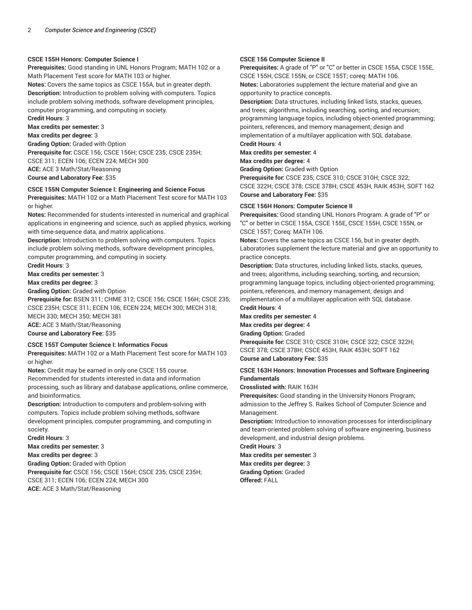#### **CSCE 155H Honors: Computer Science I**

**Prerequisites:** Good standing in UNL Honors Program; MATH 102 or a Math Placement Test score for MATH 103 or higher.

**Notes:** Covers the same topics as CSCE 155A, but in greater depth. **Description:** Introduction to problem solving with computers. Topics include problem solving methods, software development principles, computer programming, and computing in society.

**Credit Hours**: 3 **Max credits per semester:** 3 **Max credits per degree:** 3 **Grading Option:** Graded with Option **Prerequisite for:** CSCE 156; CSCE 156H; CSCE 235; CSCE 235H; CSCE 311; ECEN 106; ECEN 224; MECH 300 **ACE:** ACE 3 Math/Stat/Reasoning **Course and Laboratory Fee:** \$35

#### **CSCE 155N Computer Science I: Engineering and Science Focus**

**Prerequisites:** MATH 102 or a Math Placement Test score for MATH 103 or higher.

**Notes:** Recommended for students interested in numerical and graphical applications in engineering and science, such as applied physics, working with time-sequence data, and matrix applications.

**Description:** Introduction to problem solving with computers. Topics include problem solving methods, software development principles, computer programming, and computing in society.

**Credit Hours**: 3

#### **Max credits per semester:** 3

**Max credits per degree:** 3

**Grading Option:** Graded with Option

**Prerequisite for:** BSEN 311; CHME 312; CSCE 156; CSCE 156H; CSCE 235; CSCE 235H; CSCE 311; ECEN 106; ECEN 224; MECH 300; MECH 318;

MECH 330; MECH 350; MECH 381 **ACE:** ACE 3 Math/Stat/Reasoning

### **Course and Laboratory Fee:** \$35

#### **CSCE 155T Computer Science I: Informatics Focus**

**Prerequisites:** MATH 102 or a Math Placement Test score for MATH 103 or higher.

**Notes:** Credit may be earned in only one CSCE 155 course.

Recommended for students interested in data and information processing, such as library and database applications, online commerce, and bioinformatics.

**Description:** Introduction to computers and problem-solving with computers. Topics include problem solving methods, software development principles, computer programming, and computing in society.

**Credit Hours**: 3

**Max credits per semester:** 3

**Max credits per degree:** 3

**Grading Option:** Graded with Option

**Prerequisite for:** CSCE 156; CSCE 156H; CSCE 235; CSCE 235H; CSCE 311; ECEN 106; ECEN 224; MECH 300

#### **ACE:** ACE 3 Math/Stat/Reasoning

#### **CSCE 156 Computer Science II**

**Prerequisites:** A grade of "P" or "C" or better in CSCE 155A, CSCE 155E, CSCE 155H, CSCE 155N, or CSCE 155T; coreq: MATH 106. **Notes:** Laboratories supplement the lecture material and give an opportunity to practice concepts.

**Description:** Data structures, including linked lists, stacks, queues, and trees; algorithms, including searching, sorting, and recursion; programming language topics, including object-oriented programming; pointers, references, and memory management; design and implementation of a multilayer application with SQL database.

**Credit Hours**: 4

### **Max credits per semester:** 4

**Max credits per degree:** 4

**Grading Option:** Graded with Option

**Prerequisite for:** CSCE 235; CSCE 310; CSCE 310H; CSCE 322; CSCE 322H; CSCE 378; CSCE 378H; CSCE 453H, RAIK 453H; SOFT 162 **Course and Laboratory Fee:** \$35

#### **CSCE 156H Honors: Computer Science II**

**Prerequisites:** Good standing UNL Honors Program. A grade of "P" or "C" or better in CSCE 155A, CSCE 155E, CSCE 155H, CSCE 155N, or CSCE 155T; Coreq: MATH 106.

**Notes:** Covers the same topics as CSCE 156, but in greater depth. Laboratories supplement the lecture material and give an opportunity to practice concepts.

**Description:** Data structures, including linked lists, stacks, queues, and trees; algorithms, including searching, sorting, and recursion; programming language topics, including object-oriented programming; pointers, references, and memory management; design and implementation of a multilayer application with SQL database. **Credit Hours**: 4

**Max credits per semester:** 4 **Max credits per degree:** 4 **Grading Option:** Graded

**Prerequisite for:** CSCE 310; CSCE 310H; CSCE 322; CSCE 322H; CSCE 378; CSCE 378H; CSCE 453H, RAIK 453H; SOFT 162 **Course and Laboratory Fee:** \$35

#### **CSCE 163H Honors: Innovation Processes and Software Engineering Fundamentals**

**Crosslisted with:** RAIK 163H

**Prerequisites:** Good standing in the University Honors Program; admission to the Jeffrey S. Raikes School of Computer Science and Management.

**Description:** Introduction to innovation processes for interdisciplinary and team-oriented problem solving of software engineering, business development, and industrial design problems.

**Credit Hours**: 3

**Max credits per semester:** 3 **Max credits per degree:** 3 **Grading Option:** Graded **Offered:** FALL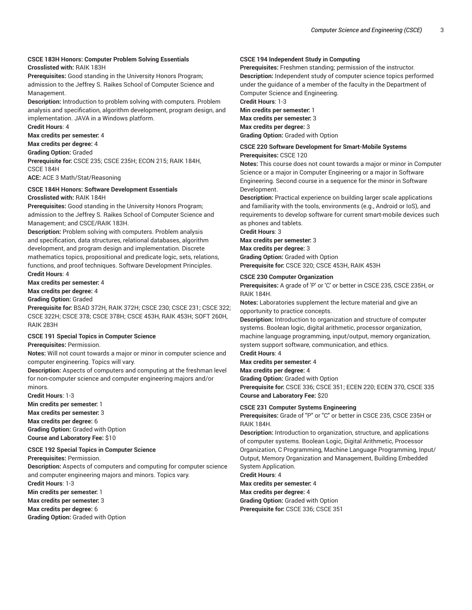### **CSCE 183H Honors: Computer Problem Solving Essentials**

**Crosslisted with:** RAIK 183H

**Prerequisites:** Good standing in the University Honors Program; admission to the Jeffrey S. Raikes School of Computer Science and Management.

**Description:** Introduction to problem solving with computers. Problem analysis and specification, algorithm development, program design, and implementation. JAVA in a Windows platform.

**Credit Hours**: 4

**Max credits per semester:** 4

**Max credits per degree:** 4

**Grading Option:** Graded

**Prerequisite for:** CSCE 235; CSCE 235H; ECON 215; RAIK 184H, CSCE 184H

**ACE:** ACE 3 Math/Stat/Reasoning

#### **CSCE 184H Honors: Software Development Essentials Crosslisted with:** RAIK 184H

**Prerequisites:** Good standing in the University Honors Program; admission to the Jeffrey S. Raikes School of Computer Science and Management; and CSCE/RAIK 183H.

**Description:** Problem solving with computers. Problem analysis and specification, data structures, relational databases, algorithm development, and program design and implementation. Discrete mathematics topics, propositional and predicate logic, sets, relations, functions, and proof techniques. Software Development Principles. **Credit Hours**: 4

**Max credits per semester:** 4

### **Max credits per degree:** 4

**Grading Option:** Graded

**Prerequisite for:** BSAD 372H, RAIK 372H; CSCE 230; CSCE 231; CSCE 322; CSCE 322H; CSCE 378; CSCE 378H; CSCE 453H, RAIK 453H; SOFT 260H, RAIK 283H

#### **CSCE 191 Special Topics in Computer Science**

**Prerequisites:** Permission.

**Notes:** Will not count towards a major or minor in computer science and computer engineering. Topics will vary.

**Description:** Aspects of computers and computing at the freshman level for non-computer science and computer engineering majors and/or minors.

**Credit Hours**: 1-3

**Min credits per semester:** 1 **Max credits per semester:** 3 **Max credits per degree:** 6 **Grading Option:** Graded with Option **Course and Laboratory Fee:** \$10

#### **CSCE 192 Special Topics in Computer Science**

**Prerequisites:** Permission.

**Description:** Aspects of computers and computing for computer science and computer engineering majors and minors. Topics vary. **Credit Hours**: 1-3

**Min credits per semester:** 1

**Max credits per semester:** 3

#### **Max credits per degree:** 6

**Grading Option:** Graded with Option

#### **CSCE 194 Independent Study in Computing**

**Prerequisites:** Freshmen standing; permission of the instructor. **Description:** Independent study of computer science topics performed under the guidance of a member of the faculty in the Department of

Computer Science and Engineering.

**Credit Hours**: 1-3 **Min credits per semester:** 1 **Max credits per semester:** 3

**Max credits per degree:** 3 **Grading Option:** Graded with Option

### **CSCE 220 Software Development for Smart-Mobile Systems**

**Prerequisites:** CSCE 120

**Notes:** This course does not count towards a major or minor in Computer Science or a major in Computer Engineering or a major in Software Engineering. Second course in a sequence for the minor in Software Development.

**Description:** Practical experience on building larger scale applications and familiarity with the tools, environments (e.g., Android or IoS), and requirements to develop software for current smart-mobile devices such as phones and tablets.

**Credit Hours**: 3

**Max credits per semester:** 3 **Max credits per degree:** 3 **Grading Option:** Graded with Option **Prerequisite for:** CSCE 320; CSCE 453H, RAIK 453H

#### **CSCE 230 Computer Organization**

**Prerequisites:** A grade of 'P' or 'C' or better in CSCE 235, CSCE 235H, or RAIK 184H.

**Notes:** Laboratories supplement the lecture material and give an opportunity to practice concepts.

**Description:** Introduction to organization and structure of computer systems. Boolean logic, digital arithmetic, processor organization, machine language programming, input/output, memory organization, system support software, communication, and ethics.

**Credit Hours**: 4

**Max credits per semester:** 4

**Max credits per degree:** 4

**Grading Option:** Graded with Option

**Prerequisite for:** CSCE 336; CSCE 351; ECEN 220; ECEN 370, CSCE 335 **Course and Laboratory Fee:** \$20

#### **CSCE 231 Computer Systems Engineering**

**Prerequisites:** Grade of "P" or "C" or better in CSCE 235, CSCE 235H or RAIK 184H.

**Description:** Introduction to organization, structure, and applications of computer systems. Boolean Logic, Digital Arithmetic, Processor Organization, C Programming, Machine Language Programming, Input/ Output, Memory Organization and Management, Building Embedded System Application.

**Credit Hours**: 4

**Max credits per semester:** 4 **Max credits per degree:** 4 **Grading Option:** Graded with Option **Prerequisite for:** CSCE 336; CSCE 351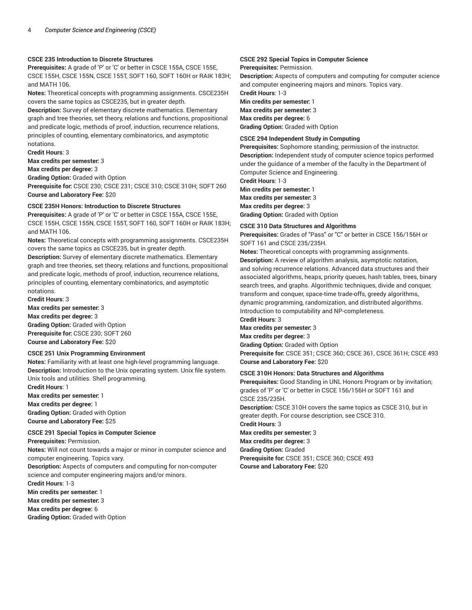#### **CSCE 235 Introduction to Discrete Structures**

**Prerequisites:** A grade of 'P' or 'C' or better in CSCE 155A, CSCE 155E, CSCE 155H, CSCE 155N, CSCE 155T, SOFT 160, SOFT 160H or RAIK 183H; and MATH 106.

**Notes:** Theoretical concepts with programming assignments. CSCE235H covers the same topics as CSCE235, but in greater depth.

**Description:** Survey of elementary discrete mathematics. Elementary graph and tree theories, set theory, relations and functions, propositional and predicate logic, methods of proof, induction, recurrence relations, principles of counting, elementary combinatorics, and asymptotic notations.

#### **Credit Hours**: 3

**Max credits per semester:** 3

**Max credits per degree:** 3

**Grading Option:** Graded with Option **Prerequisite for:** CSCE 230; CSCE 231; CSCE 310; CSCE 310H; SOFT 260 **Course and Laboratory Fee:** \$20

#### **CSCE 235H Honors: Introduction to Discrete Structures**

**Prerequisites:** A grade of 'P' or 'C' or better in CSCE 155A, CSCE 155E, CSCE 155H, CSCE 155N, CSCE 155T, SOFT 160, SOFT 160H or RAIK 183H; and MATH 106.

**Notes:** Theoretical concepts with programming assignments. CSCE235H covers the same topics as CSCE235, but in greater depth.

**Description:** Survey of elementary discrete mathematics. Elementary graph and tree theories, set theory, relations and functions, propositional and predicate logic, methods of proof, induction, recurrence relations, principles of counting, elementary combinatorics, and asymptotic notations.

**Credit Hours**: 3

**Max credits per semester:** 3

**Max credits per degree:** 3 **Grading Option:** Graded with Option **Prerequisite for:** CSCE 230; SOFT 260 **Course and Laboratory Fee:** \$20

#### **CSCE 251 Unix Programming Environment**

**Notes:** Familiarity with at least one high-level programming language. **Description:** Introduction to the Unix operating system. Unix file system. Unix tools and utilities. Shell programming. **Credit Hours**: 1

**Max credits per semester:** 1 **Max credits per degree:** 1 **Grading Option:** Graded with Option **Course and Laboratory Fee:** \$25

#### **CSCE 291 Special Topics in Computer Science**

**Prerequisites:** Permission.

**Notes:** Will not count towards a major or minor in computer science and computer engineering. Topics vary.

**Description:** Aspects of computers and computing for non-computer science and computer engineering majors and/or minors. **Credit Hours**: 1-3

**Min credits per semester:** 1 **Max credits per semester:** 3

**Max credits per degree:** 6

**Grading Option:** Graded with Option

### **CSCE 292 Special Topics in Computer Science**

**Prerequisites:** Permission.

**Description:** Aspects of computers and computing for computer science and computer engineering majors and minors. Topics vary.

**Credit Hours**: 1-3 **Min credits per semester:** 1 **Max credits per semester:** 3 **Max credits per degree:** 6 **Grading Option:** Graded with Option

**CSCE 294 Independent Study in Computing**

**Prerequisites:** Sophomore standing; permission of the instructor. **Description:** Independent study of computer science topics performed under the guidance of a member of the faculty in the Department of Computer Science and Engineering.

**Credit Hours**: 1-3

**Min credits per semester:** 1 **Max credits per semester:** 3 **Max credits per degree:** 3 **Grading Option:** Graded with Option

#### **CSCE 310 Data Structures and Algorithms**

**Prerequisites:** Grades of "Pass" or "C" or better in CSCE 156/156H or SOFT 161 and CSCE 235/235H.

**Notes:** Theoretical concepts with programming assignments. **Description:** A review of algorithm analysis, asymptotic notation, and solving recurrence relations. Advanced data structures and their associated algorithms, heaps, priority queues, hash tables, trees, binary search trees, and graphs. Algorithmic techniques, divide and conquer, transform and conquer, space-time trade-offs, greedy algorithms, dynamic programming, randomization, and distributed algorithms. Introduction to computability and NP-completeness. **Credit Hours**: 3

**Max credits per semester:** 3 **Max credits per degree:** 3 **Grading Option:** Graded with Option **Prerequisite for:** CSCE 351; CSCE 360; CSCE 361, CSCE 361H; CSCE 493 **Course and Laboratory Fee:** \$20

#### **CSCE 310H Honors: Data Structures and Algorithms**

**Prerequisites:** Good Standing in UNL Honors Program or by invitation; grades of 'P' or 'C' or better in CSCE 156/156H or SOFT 161 and CSCE 235/235H. **Description:** CSCE 310H covers the same topics as CSCE 310, but in greater depth. For course description, see CSCE 310. **Credit Hours**: 3 **Max credits per semester:** 3 **Max credits per degree:** 3 **Grading Option:** Graded **Prerequisite for:** CSCE 351; CSCE 360; CSCE 493 **Course and Laboratory Fee:** \$20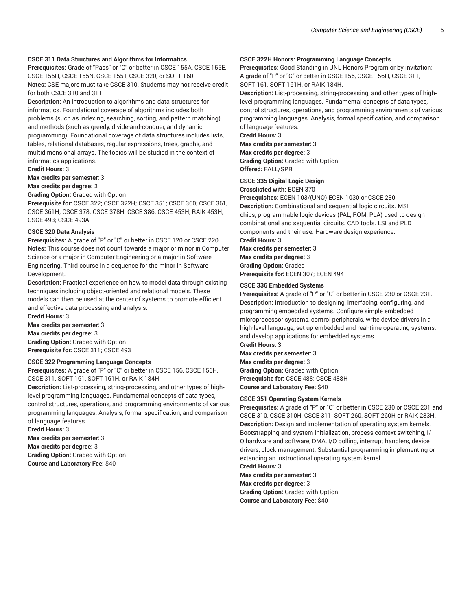#### **CSCE 311 Data Structures and Algorithms for Informatics**

**Prerequisites:** Grade of "Pass" or "C" or better in CSCE 155A, CSCE 155E, CSCE 155H, CSCE 155N, CSCE 155T, CSCE 320, or SOFT 160. **Notes:** CSE majors must take CSCE 310. Students may not receive credit for both CSCE 310 and 311.

**Description:** An introduction to algorithms and data structures for informatics. Foundational coverage of algorithms includes both problems (such as indexing, searching, sorting, and pattern matching) and methods (such as greedy, divide-and-conquer, and dynamic programming). Foundational coverage of data structures includes lists, tables, relational databases, regular expressions, trees, graphs, and multidimensional arrays. The topics will be studied in the context of informatics applications.

**Credit Hours**: 3

**Max credits per semester:** 3

**Max credits per degree:** 3

#### **Grading Option:** Graded with Option

**Prerequisite for:** CSCE 322; CSCE 322H; CSCE 351; CSCE 360; CSCE 361, CSCE 361H; CSCE 378; CSCE 378H; CSCE 386; CSCE 453H, RAIK 453H; CSCE 493; CSCE 493A

#### **CSCE 320 Data Analysis**

**Prerequisites:** A grade of "P" or "C" or better in CSCE 120 or CSCE 220. **Notes:** This course does not count towards a major or minor in Computer Science or a major in Computer Engineering or a major in Software Engineering. Third course in a sequence for the minor in Software Development.

**Description:** Practical experience on how to model data through existing techniques including object-oriented and relational models. These models can then be used at the center of systems to promote efficient and effective data processing and analysis.

**Credit Hours**: 3 **Max credits per semester:** 3 **Max credits per degree:** 3 **Grading Option:** Graded with Option **Prerequisite for:** CSCE 311; CSCE 493

#### **CSCE 322 Programming Language Concepts**

**Prerequisites:** A grade of "P" or "C" or better in CSCE 156, CSCE 156H, CSCE 311, SOFT 161, SOFT 161H, or RAIK 184H.

**Description:** List-processing, string-processing, and other types of highlevel programming languages. Fundamental concepts of data types, control structures, operations, and programming environments of various programming languages. Analysis, formal specification, and comparison of language features.

**Credit Hours**: 3 **Max credits per semester:** 3 **Max credits per degree:** 3 **Grading Option:** Graded with Option

**Course and Laboratory Fee:** \$40

#### **CSCE 322H Honors: Programming Language Concepts**

**Prerequisites:** Good Standing in UNL Honors Program or by invitation; A grade of "P" or "C" or better in CSCE 156, CSCE 156H, CSCE 311, SOFT 161, SOFT 161H, or RAIK 184H.

**Description:** List-processing, string-processing, and other types of highlevel programming languages. Fundamental concepts of data types, control structures, operations, and programming environments of various programming languages. Analysis, formal specification, and comparison of language features.

**Credit Hours**: 3

**Max credits per semester:** 3 **Max credits per degree:** 3

**Grading Option:** Graded with Option **Offered:** FALL/SPR

#### **CSCE 335 Digital Logic Design**

**Crosslisted with:** ECEN 370

**Prerequisites:** ECEN 103/(UNO) ECEN 1030 or CSCE 230 **Description:** Combinational and sequential logic circuits. MSI chips, programmable logic devices (PAL, ROM, PLA) used to design combinational and sequential circuits. CAD tools. LSI and PLD components and their use. Hardware design experience.

**Credit Hours**: 3

**Max credits per semester:** 3 **Max credits per degree:** 3 **Grading Option:** Graded **Prerequisite for:** ECEN 307; ECEN 494

#### **CSCE 336 Embedded Systems**

**Prerequisites:** A grade of "P" or "C" or better in CSCE 230 or CSCE 231. **Description:** Introduction to designing, interfacing, configuring, and programming embedded systems. Configure simple embedded microprocessor systems, control peripherals, write device drivers in a high-level language, set up embedded and real-time operating systems, and develop applications for embedded systems.

**Credit Hours**: 3 **Max credits per semester:** 3 **Max credits per degree:** 3 **Grading Option:** Graded with Option **Prerequisite for:** CSCE 488; CSCE 488H **Course and Laboratory Fee:** \$40

### **CSCE 351 Operating System Kernels**

**Prerequisites:** A grade of "P" or "C" or better in CSCE 230 or CSCE 231 and CSCE 310, CSCE 310H, CSCE 311, SOFT 260, SOFT 260H or RAIK 283H. **Description:** Design and implementation of operating system kernels. Bootstrapping and system initialization, process context switching, I/ O hardware and software, DMA, I/O polling, interrupt handlers, device drivers, clock management. Substantial programming implementing or extending an instructional operating system kernel. **Credit Hours**: 3

**Max credits per semester:** 3

**Max credits per degree:** 3 **Grading Option:** Graded with Option **Course and Laboratory Fee:** \$40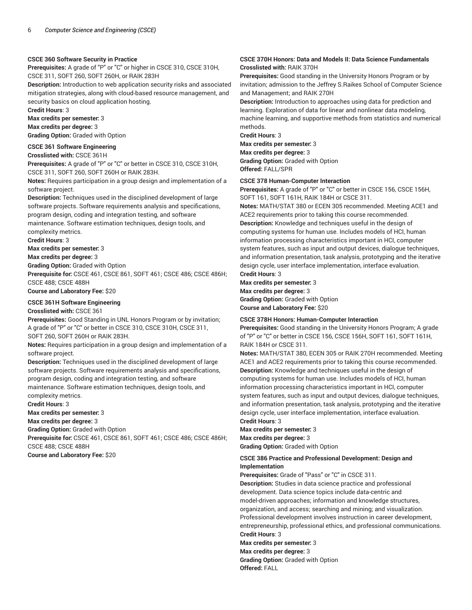#### **CSCE 360 Software Security in Practice**

**Prerequisites:** A grade of "P" or "C" or higher in CSCE 310, CSCE 310H, CSCE 311, SOFT 260, SOFT 260H, or RAIK 283H

**Description:** Introduction to web application security risks and associated mitigation strategies, along with cloud-based resource management, and security basics on cloud application hosting.

**Credit Hours**: 3

**Max credits per semester:** 3 **Max credits per degree:** 3 **Grading Option:** Graded with Option

#### **CSCE 361 Software Engineering**

**Crosslisted with:** CSCE 361H

**Prerequisites:** A grade of "P" or "C" or better in CSCE 310, CSCE 310H, CSCE 311, SOFT 260, SOFT 260H or RAIK 283H.

**Notes:** Requires participation in a group design and implementation of a software project.

**Description:** Techniques used in the disciplined development of large software projects. Software requirements analysis and specifications, program design, coding and integration testing, and software maintenance. Software estimation techniques, design tools, and

complexity metrics.

**Credit Hours**: 3

**Max credits per semester:** 3

**Max credits per degree:** 3

**Grading Option:** Graded with Option

**Prerequisite for:** CSCE 461, CSCE 861, SOFT 461; CSCE 486; CSCE 486H; CSCE 488; CSCE 488H

**Course and Laboratory Fee:** \$20

#### **CSCE 361H Software Engineering**

#### **Crosslisted with:** CSCE 361

**Prerequisites:** Good Standing in UNL Honors Program or by invitation; A grade of "P" or "C" or better in CSCE 310, CSCE 310H, CSCE 311, SOFT 260, SOFT 260H or RAIK 283H.

**Notes:** Requires participation in a group design and implementation of a software project.

**Description:** Techniques used in the disciplined development of large software projects. Software requirements analysis and specifications, program design, coding and integration testing, and software maintenance. Software estimation techniques, design tools, and complexity metrics.

**Credit Hours**: 3

**Max credits per semester:** 3

**Max credits per degree:** 3

**Grading Option:** Graded with Option

**Prerequisite for:** CSCE 461, CSCE 861, SOFT 461; CSCE 486; CSCE 486H; CSCE 488; CSCE 488H

**Course and Laboratory Fee:** \$20

#### **CSCE 370H Honors: Data and Models II: Data Science Fundamentals Crosslisted with:** RAIK 370H

**Prerequisites:** Good standing in the University Honors Program or by invitation; admission to the Jeffrey S.Raikes School of Computer Science and Management; and RAIK 270H

**Description:** Introduction to approaches using data for prediction and learning. Exploration of data for linear and nonlinear data modeling, machine learning, and supportive methods from statistics and numerical methods.

**Credit Hours**: 3

**Max credits per semester:** 3

**Max credits per degree:** 3 **Grading Option:** Graded with Option **Offered:** FALL/SPR

#### **CSCE 378 Human-Computer Interaction**

**Prerequisites:** A grade of "P" or "C" or better in CSCE 156, CSCE 156H, SOFT 161, SOFT 161H, RAIK 184H or CSCE 311.

**Notes:** MATH/STAT 380 or ECEN 305 recommended. Meeting ACE1 and ACE2 requirements prior to taking this course recommended. **Description:** Knowledge and techniques useful in the design of computing systems for human use. Includes models of HCI, human information processing characteristics important in HCI, computer system features, such as input and output devices, dialogue techniques, and information presentation, task analysis, prototyping and the iterative design cycle, user interface implementation, interface evaluation. **Credit Hours**: 3

**Max credits per semester:** 3 **Max credits per degree:** 3

**Grading Option:** Graded with Option **Course and Laboratory Fee:** \$20

#### **CSCE 378H Honors: Human-Computer Interaction**

**Prerequisites:** Good standing in the University Honors Program; A grade of "P" or "C" or better in CSCE 156, CSCE 156H, SOFT 161, SOFT 161H, RAIK 184H or CSCE 311.

**Notes:** MATH/STAT 380, ECEN 305 or RAIK 270H recommended. Meeting ACE1 and ACE2 requirements prior to taking this course recommended. **Description:** Knowledge and techniques useful in the design of computing systems for human use. Includes models of HCI, human information processing characteristics important in HCI, computer system features, such as input and output devices, dialogue techniques, and information presentation, task analysis, prototyping and the iterative design cycle, user interface implementation, interface evaluation. **Credit Hours**: 3

**Max credits per semester:** 3

**Max credits per degree:** 3

**Grading Option:** Graded with Option

#### **CSCE 386 Practice and Professional Development: Design and Implementation**

**Prerequisites:** Grade of "Pass" or "C" in CSCE 311.

**Description:** Studies in data science practice and professional development. Data science topics include data-centric and model-driven approaches; information and knowledge structures, organization, and access; searching and mining; and visualization. Professional development involves instruction in career development, entrepreneurship, professional ethics, and professional communications. **Credit Hours**: 3

**Max credits per semester:** 3 **Max credits per degree:** 3 **Grading Option:** Graded with Option **Offered:** FALL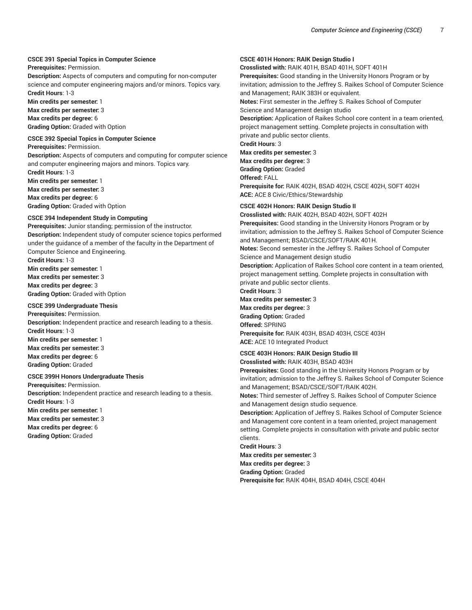#### **CSCE 391 Special Topics in Computer Science**

**Prerequisites:** Permission.

**Description:** Aspects of computers and computing for non-computer science and computer engineering majors and/or minors. Topics vary. **Credit Hours**: 1-3

**Min credits per semester:** 1

**Max credits per semester:** 3

**Max credits per degree:** 6

**Grading Option:** Graded with Option

**CSCE 392 Special Topics in Computer Science Prerequisites:** Permission.

**Description:** Aspects of computers and computing for computer science and computer engineering majors and minors. Topics vary.

**Credit Hours**: 1-3

**Min credits per semester:** 1 **Max credits per semester:** 3 **Max credits per degree:** 6 **Grading Option:** Graded with Option

#### **CSCE 394 Independent Study in Computing**

**Prerequisites:** Junior standing; permission of the instructor. **Description:** Independent study of computer science topics performed under the guidance of a member of the faculty in the Department of Computer Science and Engineering.

**Credit Hours**: 1-3

**Min credits per semester:** 1 **Max credits per semester:** 3 **Max credits per degree:** 3

**Grading Option:** Graded with Option

### **CSCE 399 Undergraduate Thesis**

**Prerequisites:** Permission. **Description:** Independent practice and research leading to a thesis. **Credit Hours**: 1-3 **Min credits per semester:** 1 **Max credits per semester:** 3 **Max credits per degree:** 6 **Grading Option:** Graded

#### **CSCE 399H Honors Undergraduate Thesis**

**Prerequisites:** Permission. **Description:** Independent practice and research leading to a thesis.

**Credit Hours**: 1-3 **Min credits per semester:** 1

**Max credits per semester:** 3

**Max credits per degree:** 6

**Grading Option:** Graded

#### **CSCE 401H Honors: RAIK Design Studio I**

**Crosslisted with:** RAIK 401H, BSAD 401H, SOFT 401H

**Prerequisites:** Good standing in the University Honors Program or by invitation; admission to the Jeffrey S. Raikes School of Computer Science and Management; RAIK 383H or equivalent.

**Notes:** First semester in the Jeffrey S. Raikes School of Computer Science and Management design studio

**Description:** Application of Raikes School core content in a team oriented, project management setting. Complete projects in consultation with private and public sector clients.

**Credit Hours**: 3

**Max credits per semester:** 3 **Max credits per degree:** 3

**Grading Option:** Graded

**Offered:** FALL

**Prerequisite for:** RAIK 402H, BSAD 402H, CSCE 402H, SOFT 402H **ACE:** ACE 8 Civic/Ethics/Stewardship

#### **CSCE 402H Honors: RAIK Design Studio II**

**Crosslisted with:** RAIK 402H, BSAD 402H, SOFT 402H **Prerequisites:** Good standing in the University Honors Program or by invitation; admission to the Jeffrey S. Raikes School of Computer Science and Management; BSAD/CSCE/SOFT/RAIK 401H. **Notes:** Second semester in the Jeffrey S. Raikes School of Computer Science and Management design studio **Description:** Application of Raikes School core content in a team oriented,

project management setting. Complete projects in consultation with private and public sector clients.

**Credit Hours**: 3 **Max credits per semester:** 3

**Max credits per degree:** 3 **Grading Option:** Graded

**Offered:** SPRING

**Prerequisite for:** RAIK 403H, BSAD 403H, CSCE 403H **ACE:** ACE 10 Integrated Product

**CSCE 403H Honors: RAIK Design Studio III Crosslisted with:** RAIK 403H, BSAD 403H

**Prerequisites:** Good standing in the University Honors Program or by invitation; admission to the Jeffrey S. Raikes School of Computer Science and Management; BSAD/CSCE/SOFT/RAIK 402H.

**Notes:** Third semester of Jeffrey S. Raikes School of Computer Science and Management design studio sequence.

**Description:** Application of Jeffrey S. Raikes School of Computer Science and Management core content in a team oriented, project management setting. Complete projects in consultation with private and public sector clients.

**Credit Hours**: 3

**Max credits per semester:** 3 **Max credits per degree:** 3

**Grading Option:** Graded

**Prerequisite for:** RAIK 404H, BSAD 404H, CSCE 404H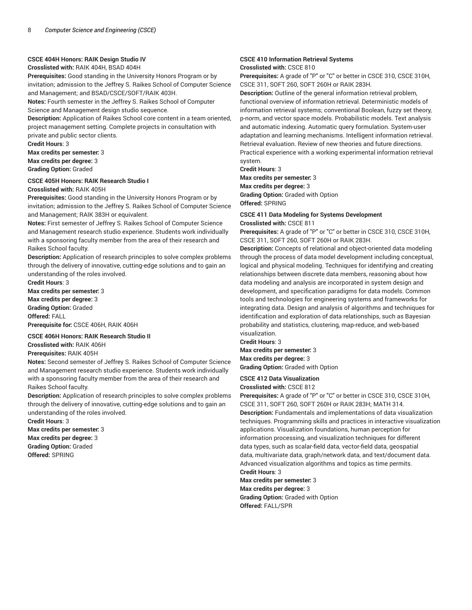#### **CSCE 404H Honors: RAIK Design Studio IV**

**Crosslisted with:** RAIK 404H, BSAD 404H

**Prerequisites:** Good standing in the University Honors Program or by invitation; admission to the Jeffrey S. Raikes School of Computer Science and Management; and BSAD/CSCE/SOFT/RAIK 403H.

**Notes:** Fourth semester in the Jeffrey S. Raikes School of Computer Science and Management design studio sequence.

**Description:** Application of Raikes School core content in a team oriented, project management setting. Complete projects in consultation with private and public sector clients.

**Credit Hours**: 3

**Max credits per semester:** 3 **Max credits per degree:** 3 **Grading Option:** Graded

#### **CSCE 405H Honors: RAIK Research Studio I**

**Crosslisted with:** RAIK 405H

**Prerequisites:** Good standing in the University Honors Program or by invitation; admission to the Jeffrey S. Raikes School of Computer Science and Management; RAIK 383H or equivalent.

**Notes:** First semester of Jeffrey S. Raikes School of Computer Science and Management research studio experience. Students work individually with a sponsoring faculty member from the area of their research and Raikes School faculty.

**Description:** Application of research principles to solve complex problems through the delivery of innovative, cutting-edge solutions and to gain an understanding of the roles involved.

**Credit Hours**: 3 **Max credits per semester:** 3 **Max credits per degree:** 3 **Grading Option:** Graded **Offered:** FALL **Prerequisite for:** CSCE 406H, RAIK 406H

### **CSCE 406H Honors: RAIK Research Studio II**

**Crosslisted with:** RAIK 406H

**Prerequisites:** RAIK 405H

**Notes:** Second semester of Jeffrey S. Raikes School of Computer Science and Management research studio experience. Students work individually with a sponsoring faculty member from the area of their research and Raikes School faculty.

**Description:** Application of research principles to solve complex problems through the delivery of innovative, cutting-edge solutions and to gain an understanding of the roles involved.

**Credit Hours**: 3 **Max credits per semester:** 3 **Max credits per degree:** 3 **Grading Option:** Graded

**Offered:** SPRING

#### **CSCE 410 Information Retrieval Systems Crosslisted with:** CSCE 810

**Prerequisites:** A grade of "P" or "C" or better in CSCE 310, CSCE 310H, CSCE 311, SOFT 260, SOFT 260H or RAIK 283H.

**Description:** Outline of the general information retrieval problem, functional overview of information retrieval. Deterministic models of information retrieval systems; conventional Boolean, fuzzy set theory, p-norm, and vector space models. Probabilistic models. Text analysis and automatic indexing. Automatic query formulation. System-user adaptation and learning mechanisms. Intelligent information retrieval. Retrieval evaluation. Review of new theories and future directions. Practical experience with a working experimental information retrieval system.

**Credit Hours**: 3

**Max credits per semester:** 3 **Max credits per degree:** 3 **Grading Option:** Graded with Option **Offered:** SPRING

#### **CSCE 411 Data Modeling for Systems Development Crosslisted with:** CSCE 811

**Prerequisites:** A grade of "P" or "C" or better in CSCE 310, CSCE 310H, CSCE 311, SOFT 260, SOFT 260H or RAIK 283H.

**Description:** Concepts of relational and object-oriented data modeling through the process of data model development including conceptual, logical and physical modeling. Techniques for identifying and creating relationships between discrete data members, reasoning about how data modeling and analysis are incorporated in system design and development, and specification paradigms for data models. Common tools and technologies for engineering systems and frameworks for integrating data. Design and analysis of algorithms and techniques for identification and exploration of data relationships, such as Bayesian probability and statistics, clustering, map-reduce, and web-based visualization.

**Credit Hours**: 3

**Max credits per semester:** 3 **Max credits per degree:** 3 **Grading Option:** Graded with Option

#### **CSCE 412 Data Visualization Crosslisted with:** CSCE 812

**Prerequisites:** A grade of "P" or "C" or better in CSCE 310, CSCE 310H, CSCE 311, SOFT 260, SOFT 260H or RAIK 283H; MATH 314. **Description:** Fundamentals and implementations of data visualization techniques. Programming skills and practices in interactive visualization applications. Visualization foundations, human perception for information processing, and visualization techniques for different data types, such as scalar-field data, vector-field data, geospatial data, multivariate data, graph/network data, and text/document data. Advanced visualization algorithms and topics as time permits. **Credit Hours**: 3

**Max credits per semester:** 3 **Max credits per degree:** 3 **Grading Option:** Graded with Option **Offered:** FALL/SPR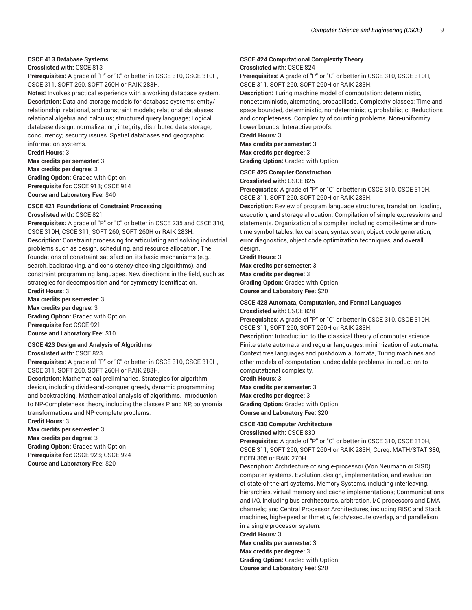### **CSCE 413 Database Systems**

**Crosslisted with:** CSCE 813

**Prerequisites:** A grade of "P" or "C" or better in CSCE 310, CSCE 310H, CSCE 311, SOFT 260, SOFT 260H or RAIK 283H.

**Notes:** Involves practical experience with a working database system. **Description:** Data and storage models for database systems; entity/ relationship, relational, and constraint models; relational databases; relational algebra and calculus; structured query language; Logical database design: normalization; integrity; distributed data storage; concurrency; security issues. Spatial databases and geographic information systems.

**Credit Hours**: 3 **Max credits per semester:** 3 **Max credits per degree:** 3 **Grading Option:** Graded with Option **Prerequisite for:** CSCE 913; CSCE 914 **Course and Laboratory Fee:** \$40

#### **CSCE 421 Foundations of Constraint Processing**

**Crosslisted with:** CSCE 821

**Prerequisites:** A grade of "P" or "C" or better in CSCE 235 and CSCE 310, CSCE 310H, CSCE 311, SOFT 260, SOFT 260H or RAIK 283H.

**Description:** Constraint processing for articulating and solving industrial problems such as design, scheduling, and resource allocation. The foundations of constraint satisfaction, its basic mechanisms (e.g., search, backtracking, and consistency-checking algorithms), and constraint programming languages. New directions in the field, such as strategies for decomposition and for symmetry identification.

**Credit Hours**: 3 **Max credits per semester:** 3

**Max credits per degree:** 3 **Grading Option:** Graded with Option **Prerequisite for:** CSCE 921 **Course and Laboratory Fee:** \$10

#### **CSCE 423 Design and Analysis of Algorithms**

**Crosslisted with:** CSCE 823

**Prerequisites:** A grade of "P" or "C" or better in CSCE 310, CSCE 310H, CSCE 311, SOFT 260, SOFT 260H or RAIK 283H.

**Description:** Mathematical preliminaries. Strategies for algorithm design, including divide-and-conquer, greedy, dynamic programming and backtracking. Mathematical analysis of algorithms. Introduction to NP-Completeness theory, including the classes P and NP, polynomial transformations and NP-complete problems.

**Credit Hours**: 3

**Max credits per semester:** 3

**Max credits per degree:** 3

**Grading Option:** Graded with Option

**Prerequisite for:** CSCE 923; CSCE 924 **Course and Laboratory Fee:** \$20

#### **CSCE 424 Computational Complexity Theory Crosslisted with:** CSCE 824

**Prerequisites:** A grade of "P" or "C" or better in CSCE 310, CSCE 310H, CSCE 311, SOFT 260, SOFT 260H or RAIK 283H.

**Description:** Turing machine model of computation: deterministic, nondeterministic, alternating, probabilistic. Complexity classes: Time and space bounded, deterministic, nondeterministic, probabilistic. Reductions and completeness. Complexity of counting problems. Non-uniformity. Lower bounds. Interactive proofs.

**Credit Hours**: 3

**Max credits per semester:** 3 **Max credits per degree:** 3 **Grading Option:** Graded with Option

#### **CSCE 425 Compiler Construction**

**Crosslisted with:** CSCE 825

**Prerequisites:** A grade of "P" or "C" or better in CSCE 310, CSCE 310H, CSCE 311, SOFT 260, SOFT 260H or RAIK 283H.

**Description:** Review of program language structures, translation, loading, execution, and storage allocation. Compilation of simple expressions and statements. Organization of a compiler including compile-time and runtime symbol tables, lexical scan, syntax scan, object code generation, error diagnostics, object code optimization techniques, and overall design.

**Credit Hours**: 3

**Max credits per semester:** 3 **Max credits per degree:** 3 **Grading Option:** Graded with Option **Course and Laboratory Fee:** \$20

#### **CSCE 428 Automata, Computation, and Formal Languages Crosslisted with:** CSCE 828

**Prerequisites:** A grade of "P" or "C" or better in CSCE 310, CSCE 310H, CSCE 311, SOFT 260, SOFT 260H or RAIK 283H.

**Description:** Introduction to the classical theory of computer science. Finite state automata and regular languages, minimization of automata. Context free languages and pushdown automata, Turing machines and other models of computation, undecidable problems, introduction to computational complexity.

**Credit Hours**: 3

**Max credits per semester:** 3 **Max credits per degree:** 3 **Grading Option:** Graded with Option **Course and Laboratory Fee:** \$20

#### **CSCE 430 Computer Architecture**

**Crosslisted with:** CSCE 830

**Prerequisites:** A grade of "P" or "C" or better in CSCE 310, CSCE 310H, CSCE 311, SOFT 260, SOFT 260H or RAIK 283H; Coreq: MATH/STAT 380, ECEN 305 or RAIK 270H.

**Description:** Architecture of single-processor (Von Neumann or SISD) computer systems. Evolution, design, implementation, and evaluation of state-of-the-art systems. Memory Systems, including interleaving, hierarchies, virtual memory and cache implementations; Communications and I/O, including bus architectures, arbitration, I/O processors and DMA channels; and Central Processor Architectures, including RISC and Stack machines, high-speed arithmetic, fetch/execute overlap, and parallelism in a single-processor system.

**Credit Hours**: 3 **Max credits per semester:** 3 **Max credits per degree:** 3

**Grading Option:** Graded with Option **Course and Laboratory Fee:** \$20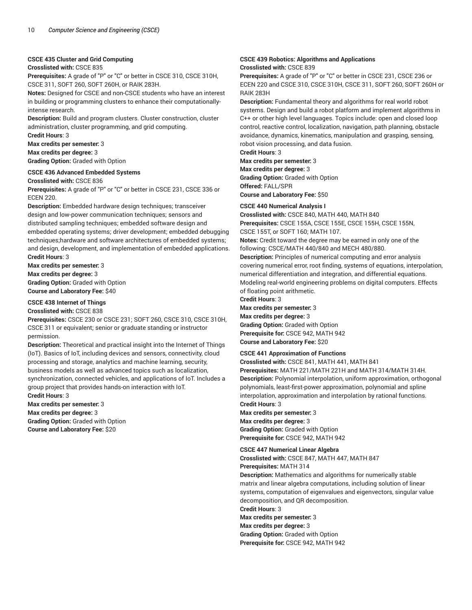#### **CSCE 435 Cluster and Grid Computing**

#### **Crosslisted with:** CSCE 835

**Prerequisites:** A grade of "P" or "C" or better in CSCE 310, CSCE 310H, CSCE 311, SOFT 260, SOFT 260H, or RAIK 283H.

**Notes:** Designed for CSCE and non-CSCE students who have an interest in building or programming clusters to enhance their computationallyintense research.

**Description:** Build and program clusters. Cluster construction, cluster administration, cluster programming, and grid computing.

**Credit Hours**: 3 **Max credits per semester:** 3

**Max credits per degree:** 3 **Grading Option:** Graded with Option

#### **CSCE 436 Advanced Embedded Systems**

**Crosslisted with:** CSCE 836

**Prerequisites:** A grade of "P" or "C" or better in CSCE 231, CSCE 336 or ECEN 220.

**Description:** Embedded hardware design techniques; transceiver design and low-power communication techniques; sensors and distributed sampling techniques; embedded software design and embedded operating systems; driver development; embedded debugging techniques;hardware and software architectures of embedded systems; and design, development, and implementation of embedded applications. **Credit Hours**: 3

**Max credits per semester:** 3 **Max credits per degree:** 3 **Grading Option:** Graded with Option **Course and Laboratory Fee:** \$40

#### **CSCE 438 Internet of Things**

#### **Crosslisted with:** CSCE 838

**Prerequisites:** CSCE 230 or CSCE 231; SOFT 260, CSCE 310, CSCE 310H, CSCE 311 or equivalent; senior or graduate standing or instructor permission.

**Description:** Theoretical and practical insight into the Internet of Things (IoT). Basics of IoT, including devices and sensors, connectivity, cloud processing and storage, analytics and machine learning, security, business models as well as advanced topics such as localization, synchronization, connected vehicles, and applications of IoT. Includes a group project that provides hands-on interaction with IoT. **Credit Hours**: 3

**Max credits per semester:** 3 **Max credits per degree:** 3 **Grading Option:** Graded with Option **Course and Laboratory Fee:** \$20

#### **CSCE 439 Robotics: Algorithms and Applications Crosslisted with:** CSCE 839

**Prerequisites:** A grade of "P" or "C" or better in CSCE 231, CSCE 236 or ECEN 220 and CSCE 310, CSCE 310H, CSCE 311, SOFT 260, SOFT 260H or RAIK 283H

**Description:** Fundamental theory and algorithms for real world robot systems. Design and build a robot platform and implement algorithms in C++ or other high level languages. Topics include: open and closed loop control, reactive control, localization, navigation, path planning, obstacle avoidance, dynamics, kinematics, manipulation and grasping, sensing, robot vision processing, and data fusion.

**Credit Hours**: 3 **Max credits per semester:** 3

**Max credits per degree:** 3 **Grading Option:** Graded with Option

**Offered:** FALL/SPR **Course and Laboratory Fee:** \$50

#### **CSCE 440 Numerical Analysis I**

**Crosslisted with:** CSCE 840, MATH 440, MATH 840 **Prerequisites:** CSCE 155A, CSCE 155E, CSCE 155H, CSCE 155N, CSCE 155T, or SOFT 160; MATH 107.

**Notes:** Credit toward the degree may be earned in only one of the following: CSCE/MATH 440/840 and MECH 480/880.

**Description:** Principles of numerical computing and error analysis covering numerical error, root finding, systems of equations, interpolation, numerical differentiation and integration, and differential equations. Modeling real-world engineering problems on digital computers. Effects of floating point arithmetic.

#### **Credit Hours**: 3

**Max credits per semester:** 3

**Max credits per degree:** 3 **Grading Option:** Graded with Option **Prerequisite for:** CSCE 942, MATH 942 **Course and Laboratory Fee:** \$20

### **CSCE 441 Approximation of Functions**

**Crosslisted with:** CSCE 841, MATH 441, MATH 841

**Prerequisites:** MATH 221/MATH 221H and MATH 314/MATH 314H. **Description:** Polynomial interpolation, uniform approximation, orthogonal polynomials, least-first-power approximation, polynomial and spline interpolation, approximation and interpolation by rational functions. **Credit Hours**: 3

**Max credits per semester:** 3 **Max credits per degree:** 3 **Grading Option:** Graded with Option

**Prerequisite for:** CSCE 942, MATH 942

### **CSCE 447 Numerical Linear Algebra**

**Crosslisted with:** CSCE 847, MATH 447, MATH 847

**Prerequisites:** MATH 314

**Description:** Mathematics and algorithms for numerically stable matrix and linear algebra computations, including solution of linear systems, computation of eigenvalues and eigenvectors, singular value decomposition, and QR decomposition. **Credit Hours**: 3 **Max credits per semester:** 3 **Max credits per degree:** 3 **Grading Option:** Graded with Option

**Prerequisite for:** CSCE 942, MATH 942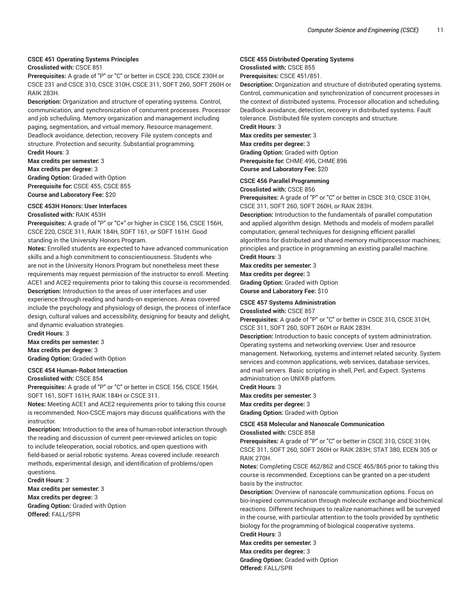#### **CSCE 451 Operating Systems Principles**

#### **Crosslisted with:** CSCE 851

**Prerequisites:** A grade of "P" or "C" or better in CSCE 230, CSCE 230H or CSCE 231 and CSCE 310, CSCE 310H, CSCE 311, SOFT 260, SOFT 260H or RAIK 283H.

**Description:** Organization and structure of operating systems. Control, communication, and synchronization of concurrent processes. Processor and job scheduling. Memory organization and management including paging, segmentation, and virtual memory. Resource management. Deadlock avoidance, detection, recovery. File system concepts and structure. Protection and security. Substantial programming.

**Credit Hours**: 3 **Max credits per semester:** 3 **Max credits per degree:** 3 **Grading Option:** Graded with Option **Prerequisite for:** CSCE 455, CSCE 855 **Course and Laboratory Fee:** \$20

#### **CSCE 453H Honors: User Interfaces**

#### **Crosslisted with:** RAIK 453H

**Prerequisites:** A grade of "P" or "C+" or higher in CSCE 156, CSCE 156H, CSCE 220, CSCE 311, RAIK 184H, SOFT 161, or SOFT 161H. Good standing in the University Honors Program.

**Notes:** Enrolled students are expected to have advanced communication skills and a high commitment to conscientiousness. Students who are not in the University Honors Program but nonetheless meet these requirements may request permission of the instructor to enroll. Meeting ACE1 and ACE2 requirements prior to taking this course is recommended. **Description:** Introduction to the areas of user interfaces and user experience through reading and hands-on experiences. Areas covered include the psychology and physiology of design, the process of interface design, cultural values and accessibility, designing for beauty and delight, and dynamic evaluation strategies.

**Credit Hours**: 3 **Max credits per semester:** 3 **Max credits per degree:** 3 **Grading Option:** Graded with Option

#### **CSCE 454 Human-Robot Interaction**

#### **Crosslisted with:** CSCE 854

**Prerequisites:** A grade of "P" or "C" or better in CSCE 156, CSCE 156H, SOFT 161, SOFT 161H, RAIK 184H or CSCE 311.

**Notes:** Meeting ACE1 and ACE2 requirements prior to taking this course is recommended. Non-CSCE majors may discuss qualifications with the instructor.

**Description:** Introduction to the area of human-robot interaction through the reading and discussion of current peer-reviewed articles on topic to include teleoperation, social robotics, and open questions with field-based or aerial robotic systems. Areas covered include: research methods, experimental design, and identification of problems/open questions.

**Credit Hours**: 3 **Max credits per semester:** 3 **Max credits per degree:** 3 **Grading Option:** Graded with Option **Offered:** FALL/SPR

#### **CSCE 455 Distributed Operating Systems**

**Crosslisted with:** CSCE 855

**Prerequisites:** CSCE 451/851.

**Description:** Organization and structure of distributed operating systems. Control, communication and synchronization of concurrent processes in the context of distributed systems. Processor allocation and scheduling. Deadlock avoidance, detection, recovery in distributed systems. Fault tolerance. Distributed file system concepts and structure.

**Credit Hours**: 3

**Max credits per semester:** 3

**Max credits per degree:** 3 **Grading Option:** Graded with Option **Prerequisite for:** CHME 496, CHME 896 **Course and Laboratory Fee:** \$20

#### **CSCE 456 Parallel Programming**

**Crosslisted with:** CSCE 856

**Prerequisites:** A grade of "P" or "C" or better in CSCE 310, CSCE 310H, CSCE 311, SOFT 260, SOFT 260H, or RAIK 283H.

**Description:** Introduction to the fundamentals of parallel computation and applied algorithm design. Methods and models of modern parallel computation; general techniques for designing efficient parallel algorithms for distributed and shared memory multiprocessor machines; principles and practice in programming an existing parallel machine. **Credit Hours**: 3

### **Max credits per semester:** 3 **Max credits per degree:** 3 **Grading Option:** Graded with Option **Course and Laboratory Fee:** \$10

### **CSCE 457 Systems Administration**

**Crosslisted with:** CSCE 857

**Prerequisites:** A grade of "P" or "C" or better in CSCE 310, CSCE 310H, CSCE 311, SOFT 260, SOFT 260H or RAIK 283H.

**Description:** Introduction to basic concepts of system administration. Operating systems and networking overview. User and resource management. Networking, systems and internet related security. System services and common applications, web services, database services, and mail servers. Basic scripting in shell, Perl, and Expect. Systems administration on UNIX® platform.

**Credit Hours**: 3

### **Max credits per semester:** 3

**Max credits per degree:** 3 **Grading Option:** Graded with Option

#### **CSCE 458 Molecular and Nanoscale Communication Crosslisted with:** CSCE 858

**Prerequisites:** A grade of "P" or "C" or better in CSCE 310, CSCE 310H, CSCE 311, SOFT 260, SOFT 260H or RAIK 283H; STAT 380, ECEN 305 or RAIK 270H.

**Notes:** Completing CSCE 462/862 and CSCE 465/865 prior to taking this course is recommended. Exceptions can be granted on a per-student basis by the instructor.

**Description:** Overview of nanoscale communication options. Focus on bio-inspired communication through molecule exchange and biochemical reactions. Different techniques to realize nanomachines will be surveyed in the course, with particular attention to the tools provided by synthetic biology for the programming of biological cooperative systems. **Credit Hours**: 3

### **Max credits per semester:** 3 **Max credits per degree:** 3 **Grading Option:** Graded with Option **Offered:** FALL/SPR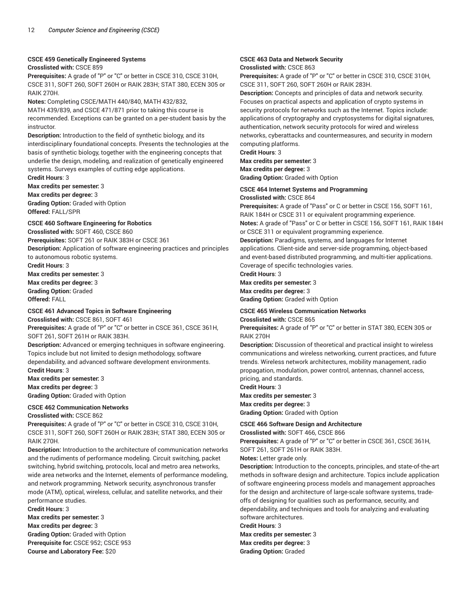### **CSCE 459 Genetically Engineered Systems**

### **Crosslisted with:** CSCE 859

**Prerequisites:** A grade of "P" or "C" or better in CSCE 310, CSCE 310H, CSCE 311, SOFT 260, SOFT 260H or RAIK 283H; STAT 380, ECEN 305 or RAIK 270H.

**Notes:** Completing CSCE/MATH 440/840, MATH 432/832,

MATH 439/839, and CSCE 471/871 prior to taking this course is recommended. Exceptions can be granted on a per-student basis by the instructor.

**Description:** Introduction to the field of synthetic biology, and its interdisciplinary foundational concepts. Presents the technologies at the basis of synthetic biology, together with the engineering concepts that underlie the design, modeling, and realization of genetically engineered systems. Surveys examples of cutting edge applications.

**Credit Hours**: 3

**Max credits per semester:** 3

**Max credits per degree:** 3 **Grading Option:** Graded with Option **Offered:** FALL/SPR

#### **CSCE 460 Software Engineering for Robotics**

**Crosslisted with:** SOFT 460, CSCE 860 **Prerequisites:** SOFT 261 or RAIK 383H or CSCE 361 **Description:** Application of software engineering practices and principles to autonomous robotic systems.

**Credit Hours**: 3

**Max credits per semester:** 3 **Max credits per degree:** 3 **Grading Option:** Graded **Offered:** FALL

#### **CSCE 461 Advanced Topics in Software Engineering**

**Crosslisted with:** CSCE 861, SOFT 461

**Prerequisites:** A grade of "P" or "C" or better in CSCE 361, CSCE 361H, SOFT 261, SOFT 261H or RAIK 383H.

**Description:** Advanced or emerging techniques in software engineering. Topics include but not limited to design methodology, software dependability, and advanced software development environments. **Credit Hours**: 3

**Max credits per semester:** 3 **Max credits per degree:** 3 **Grading Option:** Graded with Option

**CSCE 462 Communication Networks**

**Crosslisted with:** CSCE 862

**Prerequisites:** A grade of "P" or "C" or better in CSCE 310, CSCE 310H, CSCE 311, SOFT 260, SOFT 260H or RAIK 283H; STAT 380, ECEN 305 or RAIK 270H.

**Description:** Introduction to the architecture of communication networks and the rudiments of performance modeling. Circuit switching, packet switching, hybrid switching, protocols, local and metro area networks, wide area networks and the Internet, elements of performance modeling, and network programming. Network security, asynchronous transfer mode (ATM), optical, wireless, cellular, and satellite networks, and their performance studies.

**Credit Hours**: 3 **Max credits per semester:** 3 **Max credits per degree:** 3 **Grading Option:** Graded with Option **Prerequisite for:** CSCE 952; CSCE 953 **Course and Laboratory Fee:** \$20

#### **CSCE 463 Data and Network Security Crosslisted with:** CSCE 863

**Prerequisites:** A grade of "P" or "C" or better in CSCE 310, CSCE 310H, CSCE 311, SOFT 260, SOFT 260H or RAIK 283H.

**Description:** Concepts and principles of data and network security. Focuses on practical aspects and application of crypto systems in security protocols for networks such as the Internet. Topics include: applications of cryptography and cryptosystems for digital signatures, authentication, network security protocols for wired and wireless networks, cyberattacks and countermeasures, and security in modern computing platforms.

**Credit Hours**: 3 **Max credits per semester:** 3

**Max credits per degree:** 3

**Grading Option:** Graded with Option

#### **CSCE 464 Internet Systems and Programming Crosslisted with:** CSCE 864

**Prerequisites:** A grade of "Pass" or C or better in CSCE 156, SOFT 161, RAIK 184H or CSCE 311 or equivalent programming experience. **Notes:** A grade of "Pass" or C or better in CSCE 156, SOFT 161, RAIK 184H or CSCE 311 or equivalent programming experience.

**Description:** Paradigms, systems, and languages for Internet applications. Client-side and server-side programming, object-based and event-based distributed programming, and multi-tier applications. Coverage of specific technologies varies.

**Credit Hours**: 3

**Max credits per semester:** 3 **Max credits per degree:** 3 **Grading Option:** Graded with Option

#### **CSCE 465 Wireless Communication Networks**

**Crosslisted with:** CSCE 865

**Prerequisites:** A grade of "P" or "C" or better in STAT 380, ECEN 305 or RAIK 270H

**Description:** Discussion of theoretical and practical insight to wireless communications and wireless networking, current practices, and future trends. Wireless network architectures, mobility management, radio propagation, modulation, power control, antennas, channel access, pricing, and standards.

**Credit Hours**: 3

**Max credits per semester:** 3 **Max credits per degree:** 3 **Grading Option:** Graded with Option

#### **CSCE 466 Software Design and Architecture**

**Crosslisted with:** SOFT 466, CSCE 866

**Prerequisites:** A grade of "P" or "C" or better in CSCE 361, CSCE 361H, SOFT 261, SOFT 261H or RAIK 383H.

**Notes:** Letter grade only.

**Description:** Introduction to the concepts, principles, and state-of-the-art methods in software design and architecture. Topics include application of software engineering process models and management approaches for the design and architecture of large-scale software systems, tradeoffs of designing for qualities such as performance, security, and dependability, and techniques and tools for analyzing and evaluating software architectures.

**Credit Hours**: 3 **Max credits per semester:** 3 **Max credits per degree:** 3 **Grading Option:** Graded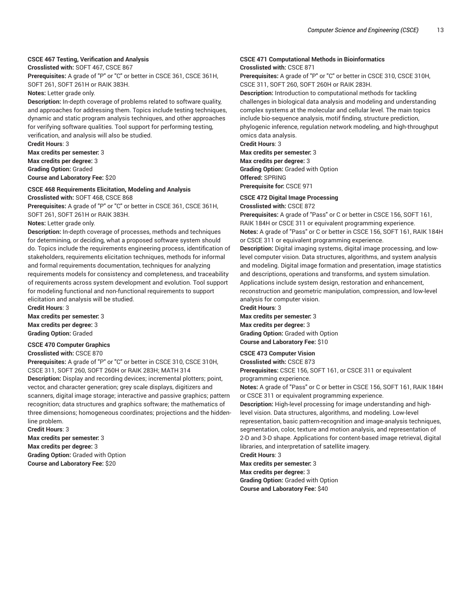#### **CSCE 467 Testing, Verification and Analysis**

**Crosslisted with:** SOFT 467, CSCE 867

**Prerequisites:** A grade of "P" or "C" or better in CSCE 361, CSCE 361H, SOFT 261, SOFT 261H or RAIK 383H.

**Notes:** Letter grade only.

**Description:** In-depth coverage of problems related to software quality, and approaches for addressing them. Topics include testing techniques, dynamic and static program analysis techniques, and other approaches for verifying software qualities. Tool support for performing testing, verification, and analysis will also be studied.

**Credit Hours**: 3 **Max credits per semester:** 3 **Max credits per degree:** 3 **Grading Option:** Graded **Course and Laboratory Fee:** \$20

#### **CSCE 468 Requirements Elicitation, Modeling and Analysis Crosslisted with:** SOFT 468, CSCE 868

**Prerequisites:** A grade of "P" or "C" or better in CSCE 361, CSCE 361H, SOFT 261, SOFT 261H or RAIK 383H.

**Notes:** Letter grade only.

**Description:** In-depth coverage of processes, methods and techniques for determining, or deciding, what a proposed software system should do. Topics include the requirements engineering process, identification of stakeholders, requirements elicitation techniques, methods for informal and formal requirements documentation, techniques for analyzing requirements models for consistency and completeness, and traceability of requirements across system development and evolution. Tool support for modeling functional and non-functional requirements to support elicitation and analysis will be studied.

**Credit Hours**: 3 **Max credits per semester:** 3 **Max credits per degree:** 3 **Grading Option:** Graded

#### **CSCE 470 Computer Graphics**

#### **Crosslisted with:** CSCE 870

**Prerequisites:** A grade of "P" or "C" or better in CSCE 310, CSCE 310H, CSCE 311, SOFT 260, SOFT 260H or RAIK 283H; MATH 314

**Description:** Display and recording devices; incremental plotters; point, vector, and character generation; grey scale displays, digitizers and scanners, digital image storage; interactive and passive graphics; pattern recognition; data structures and graphics software; the mathematics of three dimensions; homogeneous coordinates; projections and the hiddenline problem.

**Credit Hours**: 3

**Max credits per semester:** 3 **Max credits per degree:** 3 **Grading Option:** Graded with Option **Course and Laboratory Fee:** \$20

#### **CSCE 471 Computational Methods in Bioinformatics Crosslisted with:** CSCE 871

**Prerequisites:** A grade of "P" or "C" or better in CSCE 310, CSCE 310H, CSCE 311, SOFT 260, SOFT 260H or RAIK 283H.

**Description:** Introduction to computational methods for tackling challenges in biological data analysis and modeling and understanding complex systems at the molecular and cellular level. The main topics include bio-sequence analysis, motif finding, structure prediction, phylogenic inference, regulation network modeling, and high-throughput omics data analysis.

**Credit Hours**: 3

**Max credits per semester:** 3 **Max credits per degree:** 3 **Grading Option:** Graded with Option **Offered:** SPRING **Prerequisite for:** CSCE 971

### **CSCE 472 Digital Image Processing**

**Crosslisted with:** CSCE 872

**Prerequisites:** A grade of "Pass" or C or better in CSCE 156, SOFT 161, RAIK 184H or CSCE 311 or equivalent programming experience. **Notes:** A grade of "Pass" or C or better in CSCE 156, SOFT 161, RAIK 184H or CSCE 311 or equivalent programming experience.

**Description:** Digital imaging systems, digital image processing, and lowlevel computer vision. Data structures, algorithms, and system analysis and modeling. Digital image formation and presentation, image statistics and descriptions, operations and transforms, and system simulation. Applications include system design, restoration and enhancement, reconstruction and geometric manipulation, compression, and low-level analysis for computer vision. **Credit Hours**: 3

**Max credits per semester:** 3 **Max credits per degree:** 3 **Grading Option:** Graded with Option **Course and Laboratory Fee:** \$10

#### **CSCE 473 Computer Vision**

**Crosslisted with:** CSCE 873

**Prerequisites:** CSCE 156, SOFT 161, or CSCE 311 or equivalent programming experience.

**Notes:** A grade of "Pass" or C or better in CSCE 156, SOFT 161, RAIK 184H or CSCE 311 or equivalent programming experience.

**Description:** High-level processing for image understanding and highlevel vision. Data structures, algorithms, and modeling. Low-level representation, basic pattern-recognition and image-analysis techniques, segmentation, color, texture and motion analysis, and representation of 2-D and 3-D shape. Applications for content-based image retrieval, digital libraries, and interpretation of satellite imagery.

**Credit Hours**: 3

**Max credits per semester:** 3 **Max credits per degree:** 3 **Grading Option:** Graded with Option

**Course and Laboratory Fee:** \$40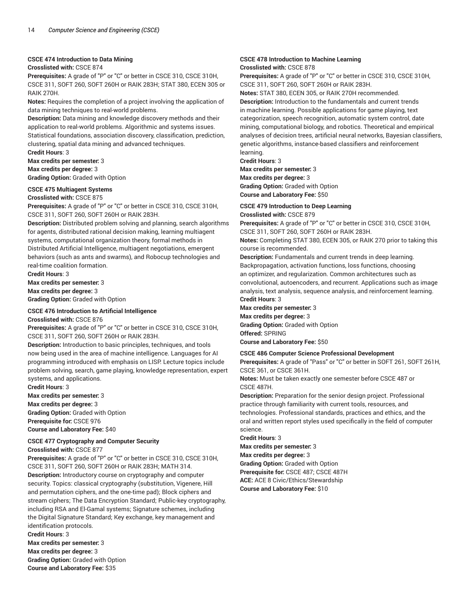#### **CSCE 474 Introduction to Data Mining**

#### **Crosslisted with:** CSCE 874

**Prerequisites:** A grade of "P" or "C" or better in CSCE 310, CSCE 310H, CSCE 311, SOFT 260, SOFT 260H or RAIK 283H; STAT 380, ECEN 305 or RAIK 270H.

**Notes:** Requires the completion of a project involving the application of data mining techniques to real-world problems.

**Description:** Data mining and knowledge discovery methods and their application to real-world problems. Algorithmic and systems issues. Statistical foundations, association discovery, classification, prediction, clustering, spatial data mining and advanced techniques.

**Credit Hours**: 3

**Max credits per semester:** 3

**Max credits per degree:** 3 **Grading Option:** Graded with Option

### **CSCE 475 Multiagent Systems**

**Crosslisted with:** CSCE 875

**Prerequisites:** A grade of "P" or "C" or better in CSCE 310, CSCE 310H, CSCE 311, SOFT 260, SOFT 260H or RAIK 283H.

**Description:** Distributed problem solving and planning, search algorithms for agents, distributed rational decision making, learning multiagent systems, computational organization theory, formal methods in Distributed Artificial Intelligence, multiagent negotiations, emergent behaviors (such as ants and swarms), and Robocup technologies and real-time coalition formation.

**Credit Hours**: 3 **Max credits per semester:** 3 **Max credits per degree:** 3 **Grading Option:** Graded with Option

#### **CSCE 476 Introduction to Artificial Intelligence**

**Crosslisted with:** CSCE 876

**Prerequisites:** A grade of "P" or "C" or better in CSCE 310, CSCE 310H, CSCE 311, SOFT 260, SOFT 260H or RAIK 283H.

**Description:** Introduction to basic principles, techniques, and tools now being used in the area of machine intelligence. Languages for AI programming introduced with emphasis on LISP. Lecture topics include problem solving, search, game playing, knowledge representation, expert systems, and applications.

**Credit Hours**: 3 **Max credits per semester:** 3 **Max credits per degree:** 3 **Grading Option:** Graded with Option **Prerequisite for:** CSCE 976

**Course and Laboratory Fee:** \$40

#### **CSCE 477 Cryptography and Computer Security**

**Crosslisted with:** CSCE 877

**Prerequisites:** A grade of "P" or "C" or better in CSCE 310, CSCE 310H, CSCE 311, SOFT 260, SOFT 260H or RAIK 283H; MATH 314. **Description:** Introductory course on cryptography and computer security. Topics: classical cryptography (substitution, Vigenere, Hill and permutation ciphers, and the one-time pad); Block ciphers and stream ciphers; The Data Encryption Standard; Public-key cryptography, including RSA and El-Gamal systems; Signature schemes, including the Digital Signature Standard; Key exchange, key management and identification protocols.

**Credit Hours**: 3

**Max credits per semester:** 3 **Max credits per degree:** 3 **Grading Option:** Graded with Option **Course and Laboratory Fee:** \$35

#### **CSCE 478 Introduction to Machine Learning Crosslisted with:** CSCE 878

**Prerequisites:** A grade of "P" or "C" or better in CSCE 310, CSCE 310H, CSCE 311, SOFT 260, SOFT 260H or RAIK 283H.

**Notes:** STAT 380, ECEN 305, or RAIK 270H recommended.

**Description:** Introduction to the fundamentals and current trends in machine learning. Possible applications for game playing, text categorization, speech recognition, automatic system control, date mining, computational biology, and robotics. Theoretical and empirical analyses of decision trees, artificial neural networks, Bayesian classifiers, genetic algorithms, instance-based classifiers and reinforcement learning.

**Credit Hours**: 3

**Max credits per semester:** 3 **Max credits per degree:** 3 **Grading Option:** Graded with Option **Course and Laboratory Fee:** \$50

### **CSCE 479 Introduction to Deep Learning**

**Crosslisted with:** CSCE 879

**Prerequisites:** A grade of "P" or "C" or better in CSCE 310, CSCE 310H, CSCE 311, SOFT 260, SOFT 260H or RAIK 283H.

**Notes:** Completing STAT 380, ECEN 305, or RAIK 270 prior to taking this course is recommended.

**Description:** Fundamentals and current trends in deep learning. Backpropagation, activation functions, loss functions, choosing an optimizer, and regularization. Common architectures such as convolutional, autoencoders, and recurrent. Applications such as image analysis, text analysis, sequence analysis, and reinforcement learning. **Credit Hours**: 3

**Max credits per semester:** 3 **Max credits per degree:** 3 **Grading Option:** Graded with Option **Offered:** SPRING **Course and Laboratory Fee:** \$50

#### **CSCE 486 Computer Science Professional Development**

**Prerequisites:** A grade of "Pass" or "C" or better in SOFT 261, SOFT 261H, CSCE 361, or CSCE 361H.

**Notes:** Must be taken exactly one semester before CSCE 487 or CSCE 487H.

**Description:** Preparation for the senior design project. Professional practice through familiarity with current tools, resources, and technologies. Professional standards, practices and ethics, and the oral and written report styles used specifically in the field of computer science.

**Credit Hours**: 3

**Max credits per semester:** 3

**Max credits per degree:** 3

**Grading Option:** Graded with Option **Prerequisite for:** CSCE 487; CSCE 487H **ACE:** ACE 8 Civic/Ethics/Stewardship **Course and Laboratory Fee:** \$10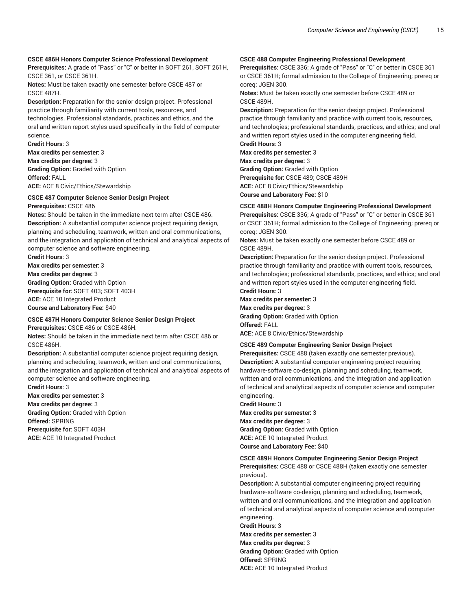#### **CSCE 486H Honors Computer Science Professional Development**

**Prerequisites:** A grade of "Pass" or "C" or better in SOFT 261, SOFT 261H, CSCE 361, or CSCE 361H.

**Notes:** Must be taken exactly one semester before CSCE 487 or CSCE 487H.

**Description:** Preparation for the senior design project. Professional practice through familiarity with current tools, resources, and technologies. Professional standards, practices and ethics, and the oral and written report styles used specifically in the field of computer science.

**Credit Hours**: 3

**Max credits per semester:** 3 **Max credits per degree:** 3 **Grading Option:** Graded with Option **Offered:** FALL **ACE:** ACE 8 Civic/Ethics/Stewardship

#### **CSCE 487 Computer Science Senior Design Project**

**Prerequisites:** CSCE 486

**Notes:** Should be taken in the immediate next term after CSCE 486. **Description:** A substantial computer science project requiring design, planning and scheduling, teamwork, written and oral communications, and the integration and application of technical and analytical aspects of computer science and software engineering.

**Credit Hours**: 3 **Max credits per semester:** 3

**Max credits per degree:** 3 **Grading Option:** Graded with Option **Prerequisite for:** SOFT 403; SOFT 403H **ACE:** ACE 10 Integrated Product **Course and Laboratory Fee:** \$40

#### **CSCE 487H Honors Computer Science Senior Design Project Prerequisites:** CSCE 486 or CSCE 486H.

**Notes:** Should be taken in the immediate next term after CSCE 486 or CSCE 486H.

**Description:** A substantial computer science project requiring design, planning and scheduling, teamwork, written and oral communications, and the integration and application of technical and analytical aspects of computer science and software engineering.

**Credit Hours**: 3 **Max credits per semester:** 3 **Max credits per degree:** 3 **Grading Option:** Graded with Option **Offered:** SPRING **Prerequisite for:** SOFT 403H **ACE:** ACE 10 Integrated Product

#### **CSCE 488 Computer Engineering Professional Development**

**Prerequisites:** CSCE 336; A grade of "Pass" or "C" or better in CSCE 361 or CSCE 361H; formal admission to the College of Engineering; prereq or coreq: JGEN 300.

**Notes:** Must be taken exactly one semester before CSCE 489 or CSCE 489H.

**Description:** Preparation for the senior design project. Professional practice through familiarity and practice with current tools, resources, and technologies; professional standards, practices, and ethics; and oral and written report styles used in the computer engineering field. **Credit Hours**: 3

**Max credits per semester:** 3 **Max credits per degree:** 3 **Grading Option:** Graded with Option **Prerequisite for:** CSCE 489; CSCE 489H **ACE:** ACE 8 Civic/Ethics/Stewardship **Course and Laboratory Fee:** \$10

#### **CSCE 488H Honors Computer Engineering Professional Development**

**Prerequisites:** CSCE 336; A grade of "Pass" or "C" or better in CSCE 361 or CSCE 361H; formal admission to the College of Engineering; prereq or coreq: JGEN 300.

**Notes:** Must be taken exactly one semester before CSCE 489 or CSCE 489H.

**Description:** Preparation for the senior design project. Professional practice through familiarity and practice with current tools, resources, and technologies; professional standards, practices, and ethics; and oral and written report styles used in the computer engineering field. **Credit Hours**: 3

**Max credits per semester:** 3 **Max credits per degree:** 3 **Grading Option:** Graded with Option **Offered:** FALL **ACE:** ACE 8 Civic/Ethics/Stewardship

#### **CSCE 489 Computer Engineering Senior Design Project**

**Prerequisites:** CSCE 488 (taken exactly one semester previous). **Description:** A substantial computer engineering project requiring hardware-software co-design, planning and scheduling, teamwork, written and oral communications, and the integration and application of technical and analytical aspects of computer science and computer engineering.

**Credit Hours**: 3 **Max credits per semester:** 3 **Max credits per degree:** 3 **Grading Option:** Graded with Option **ACE:** ACE 10 Integrated Product **Course and Laboratory Fee:** \$40

#### **CSCE 489H Honors Computer Engineering Senior Design Project Prerequisites:** CSCE 488 or CSCE 488H (taken exactly one semester previous).

**Description:** A substantial computer engineering project requiring hardware-software co-design, planning and scheduling, teamwork, written and oral communications, and the integration and application of technical and analytical aspects of computer science and computer engineering.

**Credit Hours**: 3 **Max credits per semester:** 3 **Max credits per degree:** 3 **Grading Option:** Graded with Option **Offered:** SPRING **ACE:** ACE 10 Integrated Product